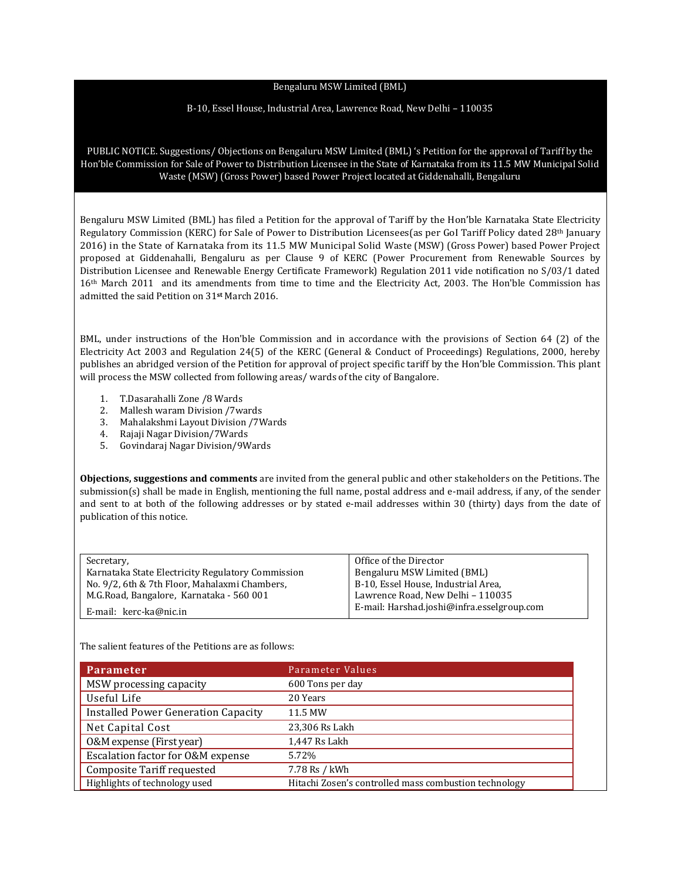## Bengaluru MSW Limited (BML)

## B-10, Essel House, Industrial Area, Lawrence Road, New Delhi – 110035

PUBLIC NOTICE. Suggestions/ Objections on Bengaluru MSW Limited (BML) 's Petition for the approval of Tariff by the Hon'ble Commission for Sale of Power to Distribution Licensee in the State of Karnataka from its 11.5 MW Municipal Solid Waste (MSW) (Gross Power) based Power Project located at Giddenahalli, Bengaluru

Bengaluru MSW Limited (BML) has filed a Petition for the approval of Tariff by the Hon'ble Karnataka State Electricity Regulatory Commission (KERC) for Sale of Power to Distribution Licensees(as per GoI Tariff Policy dated 28th January 2016) in the State of Karnataka from its 11.5 MW Municipal Solid Waste (MSW) (Gross Power) based Power Project proposed at Giddenahalli, Bengaluru as per Clause 9 of KERC (Power Procurement from Renewable Sources by Distribution Licensee and Renewable Energy Certificate Framework) Regulation 2011 vide notification no S/03/1 dated 16th March 2011 and its amendments from time to time and the Electricity Act, 2003. The Hon'ble Commission has admitted the said Petition on 31**st** March 2016.

BML, under instructions of the Hon'ble Commission and in accordance with the provisions of Section 64 (2) of the Electricity Act 2003 and Regulation 24(5) of the KERC (General & Conduct of Proceedings) Regulations, 2000, hereby publishes an abridged version of the Petition for approval of project specific tariff by the Hon'ble Commission. This plant will process the MSW collected from following areas/ wards of the city of Bangalore.

- 1. T.Dasarahalli Zone /8 Wards
- 2. Mallesh waram Division /7wards
- 3. Mahalakshmi Layout Division /7Wards
- 4. Rajaji Nagar Division/7Wards
- 5. Govindaraj Nagar Division/9Wards

**Objections, suggestions and comments** are invited from the general public and other stakeholders on the Petitions. The submission(s) shall be made in English, mentioning the full name, postal address and e-mail address, if any, of the sender and sent to at both of the following addresses or by stated e-mail addresses within 30 (thirty) days from the date of publication of this notice.

| Secretary,                                        | Office of the Director                     |
|---------------------------------------------------|--------------------------------------------|
| Karnataka State Electricity Regulatory Commission | Bengaluru MSW Limited (BML)                |
| No. 9/2, 6th & 7th Floor, Mahalaxmi Chambers,     | B-10, Essel House, Industrial Area,        |
| M.G.Road, Bangalore, Karnataka - 560 001          | Lawrence Road, New Delhi - 110035          |
| E-mail: kerc-ka@nic.in                            | E-mail: Harshad.joshi@infra.esselgroup.com |

The salient features of the Petitions are as follows:

| <b>Parameter</b>                           | Parameter Values                                      |
|--------------------------------------------|-------------------------------------------------------|
| MSW processing capacity                    | 600 Tons per day                                      |
| Useful Life                                | 20 Years                                              |
| <b>Installed Power Generation Capacity</b> | 11.5 MW                                               |
| Net Capital Cost                           | 23,306 Rs Lakh                                        |
| 0&M expense (First year)                   | 1,447 Rs Lakh                                         |
| Escalation factor for O&M expense          | 5.72%                                                 |
| <b>Composite Tariff requested</b>          | 7.78 Rs / kWh                                         |
| Highlights of technology used              | Hitachi Zosen's controlled mass combustion technology |